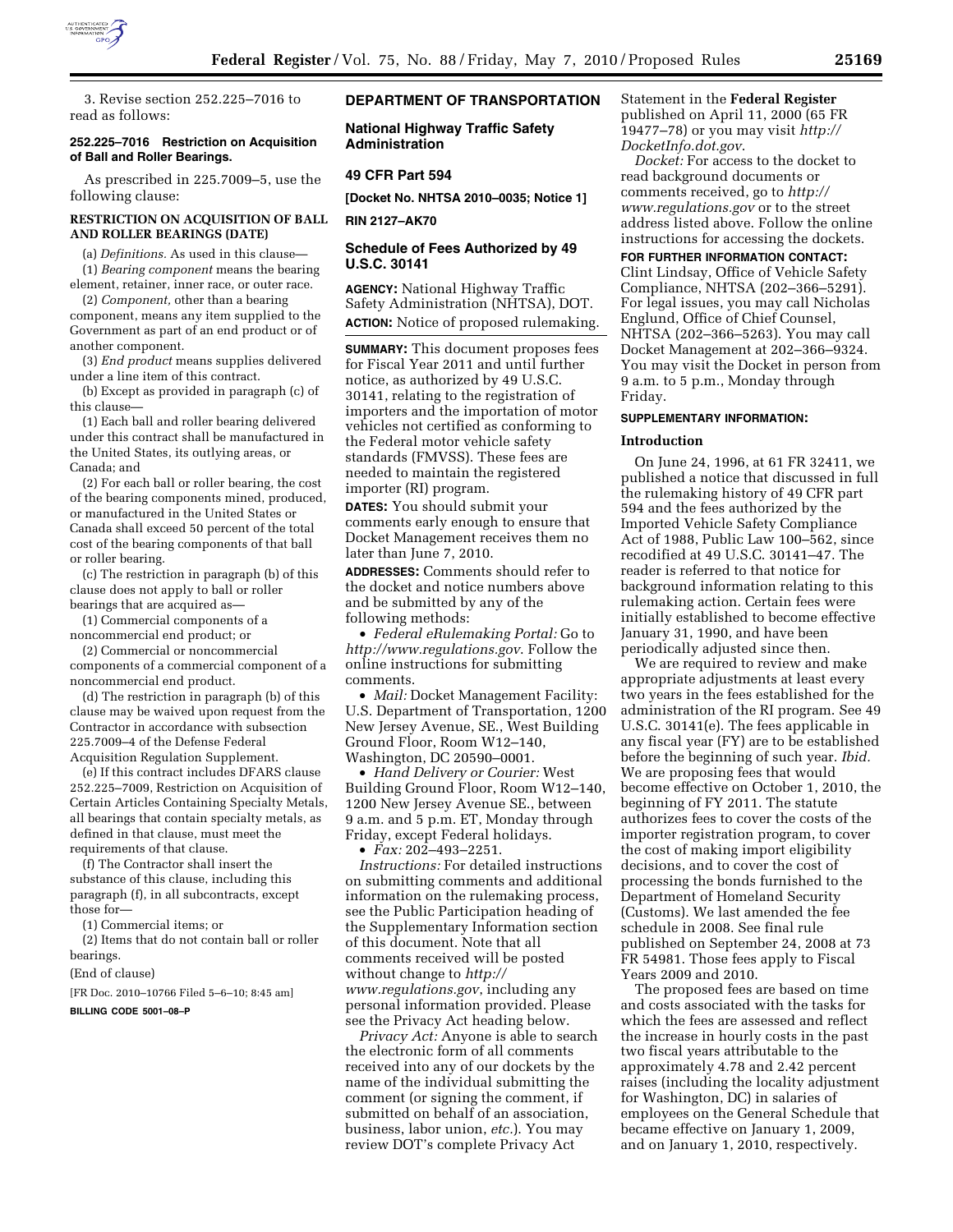

3. Revise section 252.225–7016 to read as follows:

### **252.225–7016 Restriction on Acquisition of Ball and Roller Bearings.**

As prescribed in 225.7009–5, use the following clause:

## **RESTRICTION ON ACQUISITION OF BALL AND ROLLER BEARINGS (DATE)**

(a) *Definitions.* As used in this clause—

(1) *Bearing component* means the bearing element, retainer, inner race, or outer race.

(2) *Component,* other than a bearing component, means any item supplied to the Government as part of an end product or of another component.

(3) *End product* means supplies delivered under a line item of this contract.

(b) Except as provided in paragraph (c) of this clause—

(1) Each ball and roller bearing delivered under this contract shall be manufactured in the United States, its outlying areas, or Canada; and

(2) For each ball or roller bearing, the cost of the bearing components mined, produced, or manufactured in the United States or Canada shall exceed 50 percent of the total cost of the bearing components of that ball or roller bearing.

(c) The restriction in paragraph (b) of this clause does not apply to ball or roller bearings that are acquired as—

(1) Commercial components of a noncommercial end product; or

(2) Commercial or noncommercial components of a commercial component of a noncommercial end product.

(d) The restriction in paragraph (b) of this clause may be waived upon request from the Contractor in accordance with subsection 225.7009–4 of the Defense Federal Acquisition Regulation Supplement.

(e) If this contract includes DFARS clause 252.225–7009, Restriction on Acquisition of Certain Articles Containing Specialty Metals, all bearings that contain specialty metals, as defined in that clause, must meet the requirements of that clause.

(f) The Contractor shall insert the substance of this clause, including this paragraph (f), in all subcontracts, except those for—

(1) Commercial items; or

(2) Items that do not contain ball or roller bearings.

(End of clause)

[FR Doc. 2010–10766 Filed 5–6–10; 8:45 am]

# **BILLING CODE 5001–08–P**

# **DEPARTMENT OF TRANSPORTATION**

**National Highway Traffic Safety Administration** 

## **49 CFR Part 594**

**[Docket No. NHTSA 2010–0035; Notice 1]** 

### **RIN 2127–AK70**

## **Schedule of Fees Authorized by 49 U.S.C. 30141**

**AGENCY:** National Highway Traffic Safety Administration (NHTSA), DOT. **ACTION:** Notice of proposed rulemaking.

**SUMMARY:** This document proposes fees for Fiscal Year 2011 and until further notice, as authorized by 49 U.S.C. 30141, relating to the registration of importers and the importation of motor vehicles not certified as conforming to the Federal motor vehicle safety standards (FMVSS). These fees are needed to maintain the registered importer (RI) program.

**DATES:** You should submit your comments early enough to ensure that Docket Management receives them no later than June 7, 2010.

**ADDRESSES:** Comments should refer to the docket and notice numbers above and be submitted by any of the following methods:

• *Federal eRulemaking Portal:* Go to *http://www.regulations.gov*. Follow the online instructions for submitting comments.

• *Mail:* Docket Management Facility: U.S. Department of Transportation, 1200 New Jersey Avenue, SE., West Building Ground Floor, Room W12–140, Washington, DC 20590–0001.

• *Hand Delivery or Courier:* West Building Ground Floor, Room W12–140, 1200 New Jersey Avenue SE., between 9 a.m. and 5 p.m. ET, Monday through Friday, except Federal holidays.

• *Fax:* 202–493–2251.

*Instructions:* For detailed instructions on submitting comments and additional information on the rulemaking process, see the Public Participation heading of the Supplementary Information section of this document. Note that all comments received will be posted without change to *http:// www.regulations.gov*, including any personal information provided. Please see the Privacy Act heading below.

*Privacy Act:* Anyone is able to search the electronic form of all comments received into any of our dockets by the name of the individual submitting the comment (or signing the comment, if submitted on behalf of an association, business, labor union, *etc.*). You may review DOT's complete Privacy Act

# Statement in the **Federal Register**  published on April 11, 2000 (65 FR 19477–78) or you may visit *http:// DocketInfo.dot.gov*.

*Docket:* For access to the docket to read background documents or comments received, go to *http:// www.regulations.gov* or to the street address listed above. Follow the online instructions for accessing the dockets.

# **FOR FURTHER INFORMATION CONTACT:**

Clint Lindsay, Office of Vehicle Safety Compliance, NHTSA (202–366–5291). For legal issues, you may call Nicholas Englund, Office of Chief Counsel, NHTSA (202–366–5263). You may call Docket Management at 202–366–9324. You may visit the Docket in person from 9 a.m. to 5 p.m., Monday through Friday.

#### **SUPPLEMENTARY INFORMATION:**

### **Introduction**

On June 24, 1996, at 61 FR 32411, we published a notice that discussed in full the rulemaking history of 49 CFR part 594 and the fees authorized by the Imported Vehicle Safety Compliance Act of 1988, Public Law 100–562, since recodified at 49 U.S.C. 30141–47. The reader is referred to that notice for background information relating to this rulemaking action. Certain fees were initially established to become effective January 31, 1990, and have been periodically adjusted since then.

We are required to review and make appropriate adjustments at least every two years in the fees established for the administration of the RI program. See 49 U.S.C. 30141(e). The fees applicable in any fiscal year (FY) are to be established before the beginning of such year. *Ibid.*  We are proposing fees that would become effective on October 1, 2010, the beginning of FY 2011. The statute authorizes fees to cover the costs of the importer registration program, to cover the cost of making import eligibility decisions, and to cover the cost of processing the bonds furnished to the Department of Homeland Security (Customs). We last amended the fee schedule in 2008. See final rule published on September 24, 2008 at 73 FR 54981. Those fees apply to Fiscal Years 2009 and 2010.

The proposed fees are based on time and costs associated with the tasks for which the fees are assessed and reflect the increase in hourly costs in the past two fiscal years attributable to the approximately 4.78 and 2.42 percent raises (including the locality adjustment for Washington, DC) in salaries of employees on the General Schedule that became effective on January 1, 2009, and on January 1, 2010, respectively.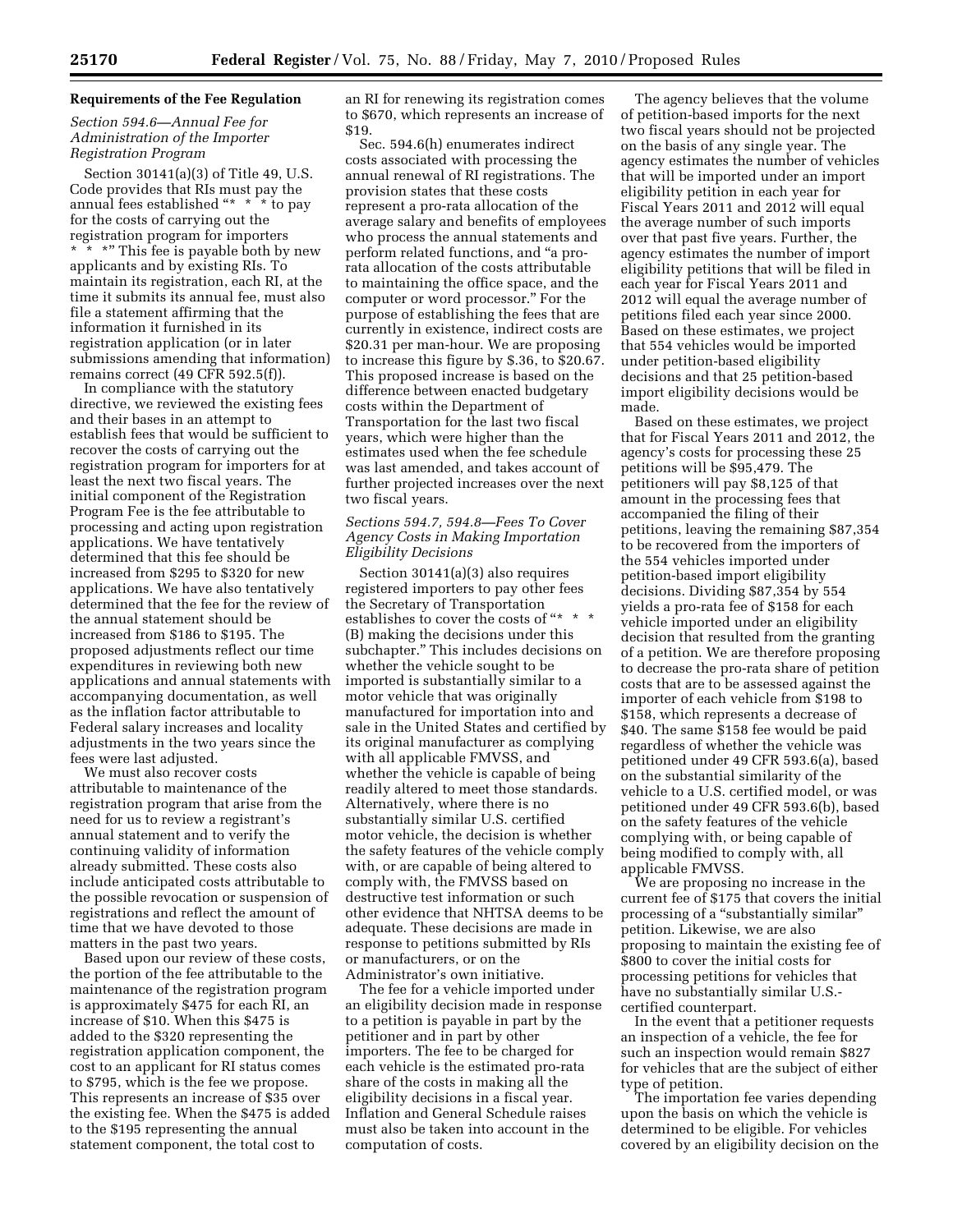# **Requirements of the Fee Regulation**

## *Section 594.6—Annual Fee for Administration of the Importer Registration Program*

Section 30141(a)(3) of Title 49, U.S. Code provides that RIs must pay the annual fees established ''\* \* \* to pay for the costs of carrying out the registration program for importers \* \* \*" This fee is payable both by new applicants and by existing RIs. To maintain its registration, each RI, at the time it submits its annual fee, must also file a statement affirming that the information it furnished in its registration application (or in later submissions amending that information) remains correct (49 CFR 592.5(f)).

In compliance with the statutory directive, we reviewed the existing fees and their bases in an attempt to establish fees that would be sufficient to recover the costs of carrying out the registration program for importers for at least the next two fiscal years. The initial component of the Registration Program Fee is the fee attributable to processing and acting upon registration applications. We have tentatively determined that this fee should be increased from \$295 to \$320 for new applications. We have also tentatively determined that the fee for the review of the annual statement should be increased from \$186 to \$195. The proposed adjustments reflect our time expenditures in reviewing both new applications and annual statements with accompanying documentation, as well as the inflation factor attributable to Federal salary increases and locality adjustments in the two years since the fees were last adjusted.

We must also recover costs attributable to maintenance of the registration program that arise from the need for us to review a registrant's annual statement and to verify the continuing validity of information already submitted. These costs also include anticipated costs attributable to the possible revocation or suspension of registrations and reflect the amount of time that we have devoted to those matters in the past two years.

Based upon our review of these costs, the portion of the fee attributable to the maintenance of the registration program is approximately \$475 for each RI, an increase of \$10. When this \$475 is added to the \$320 representing the registration application component, the cost to an applicant for RI status comes to \$795, which is the fee we propose. This represents an increase of \$35 over the existing fee. When the \$475 is added to the \$195 representing the annual statement component, the total cost to

an RI for renewing its registration comes to \$670, which represents an increase of \$19.

Sec. 594.6(h) enumerates indirect costs associated with processing the annual renewal of RI registrations. The provision states that these costs represent a pro-rata allocation of the average salary and benefits of employees who process the annual statements and perform related functions, and ''a prorata allocation of the costs attributable to maintaining the office space, and the computer or word processor.'' For the purpose of establishing the fees that are currently in existence, indirect costs are \$20.31 per man-hour. We are proposing to increase this figure by \$.36, to \$20.67. This proposed increase is based on the difference between enacted budgetary costs within the Department of Transportation for the last two fiscal years, which were higher than the estimates used when the fee schedule was last amended, and takes account of further projected increases over the next two fiscal years.

# *Sections 594.7, 594.8—Fees To Cover Agency Costs in Making Importation Eligibility Decisions*

Section 30141(a)(3) also requires registered importers to pay other fees the Secretary of Transportation establishes to cover the costs of "\* \* \* (B) making the decisions under this subchapter.'' This includes decisions on whether the vehicle sought to be imported is substantially similar to a motor vehicle that was originally manufactured for importation into and sale in the United States and certified by its original manufacturer as complying with all applicable FMVSS, and whether the vehicle is capable of being readily altered to meet those standards. Alternatively, where there is no substantially similar U.S. certified motor vehicle, the decision is whether the safety features of the vehicle comply with, or are capable of being altered to comply with, the FMVSS based on destructive test information or such other evidence that NHTSA deems to be adequate. These decisions are made in response to petitions submitted by RIs or manufacturers, or on the Administrator's own initiative.

The fee for a vehicle imported under an eligibility decision made in response to a petition is payable in part by the petitioner and in part by other importers. The fee to be charged for each vehicle is the estimated pro-rata share of the costs in making all the eligibility decisions in a fiscal year. Inflation and General Schedule raises must also be taken into account in the computation of costs.

The agency believes that the volume of petition-based imports for the next two fiscal years should not be projected on the basis of any single year. The agency estimates the number of vehicles that will be imported under an import eligibility petition in each year for Fiscal Years 2011 and 2012 will equal the average number of such imports over that past five years. Further, the agency estimates the number of import eligibility petitions that will be filed in each year for Fiscal Years 2011 and 2012 will equal the average number of petitions filed each year since 2000. Based on these estimates, we project that 554 vehicles would be imported under petition-based eligibility decisions and that 25 petition-based import eligibility decisions would be made.

Based on these estimates, we project that for Fiscal Years 2011 and 2012, the agency's costs for processing these 25 petitions will be \$95,479. The petitioners will pay \$8,125 of that amount in the processing fees that accompanied the filing of their petitions, leaving the remaining \$87,354 to be recovered from the importers of the 554 vehicles imported under petition-based import eligibility decisions. Dividing \$87,354 by 554 yields a pro-rata fee of \$158 for each vehicle imported under an eligibility decision that resulted from the granting of a petition. We are therefore proposing to decrease the pro-rata share of petition costs that are to be assessed against the importer of each vehicle from \$198 to \$158, which represents a decrease of \$40. The same \$158 fee would be paid regardless of whether the vehicle was petitioned under 49 CFR 593.6(a), based on the substantial similarity of the vehicle to a U.S. certified model, or was petitioned under 49 CFR 593.6(b), based on the safety features of the vehicle complying with, or being capable of being modified to comply with, all applicable FMVSS.

We are proposing no increase in the current fee of \$175 that covers the initial processing of a "substantially similar" petition. Likewise, we are also proposing to maintain the existing fee of \$800 to cover the initial costs for processing petitions for vehicles that have no substantially similar U.S. certified counterpart.

In the event that a petitioner requests an inspection of a vehicle, the fee for such an inspection would remain \$827 for vehicles that are the subject of either type of petition.

The importation fee varies depending upon the basis on which the vehicle is determined to be eligible. For vehicles covered by an eligibility decision on the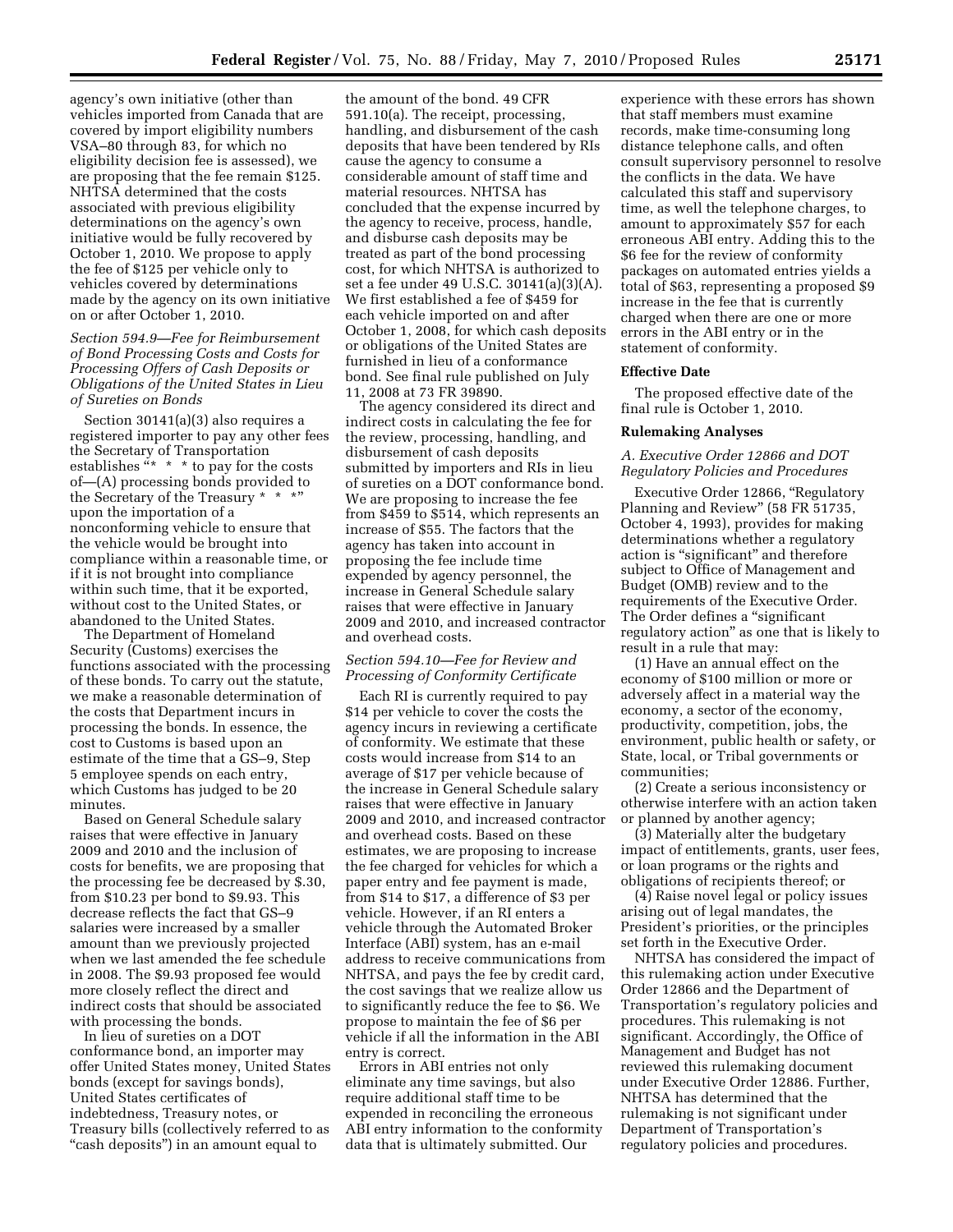agency's own initiative (other than vehicles imported from Canada that are covered by import eligibility numbers VSA–80 through 83, for which no eligibility decision fee is assessed), we are proposing that the fee remain \$125. NHTSA determined that the costs associated with previous eligibility determinations on the agency's own initiative would be fully recovered by October 1, 2010. We propose to apply the fee of \$125 per vehicle only to vehicles covered by determinations made by the agency on its own initiative on or after October 1, 2010.

*Section 594.9—Fee for Reimbursement of Bond Processing Costs and Costs for Processing Offers of Cash Deposits or Obligations of the United States in Lieu of Sureties on Bonds* 

Section 30141(a)(3) also requires a registered importer to pay any other fees the Secretary of Transportation establishes  $x^* * *$  to pay for the costs of—(A) processing bonds provided to the Secretary of the Treasury \* \* \*" upon the importation of a nonconforming vehicle to ensure that the vehicle would be brought into compliance within a reasonable time, or if it is not brought into compliance within such time, that it be exported, without cost to the United States, or abandoned to the United States.

The Department of Homeland Security (Customs) exercises the functions associated with the processing of these bonds. To carry out the statute, we make a reasonable determination of the costs that Department incurs in processing the bonds. In essence, the cost to Customs is based upon an estimate of the time that a GS–9, Step 5 employee spends on each entry, which Customs has judged to be 20 minutes.

Based on General Schedule salary raises that were effective in January 2009 and 2010 and the inclusion of costs for benefits, we are proposing that the processing fee be decreased by \$.30, from \$10.23 per bond to \$9.93. This decrease reflects the fact that GS–9 salaries were increased by a smaller amount than we previously projected when we last amended the fee schedule in 2008. The \$9.93 proposed fee would more closely reflect the direct and indirect costs that should be associated with processing the bonds.

In lieu of sureties on a DOT conformance bond, an importer may offer United States money, United States bonds (except for savings bonds), United States certificates of indebtedness, Treasury notes, or Treasury bills (collectively referred to as "cash deposits") in an amount equal to

the amount of the bond. 49 CFR 591.10(a). The receipt, processing, handling, and disbursement of the cash deposits that have been tendered by RIs cause the agency to consume a considerable amount of staff time and material resources. NHTSA has concluded that the expense incurred by the agency to receive, process, handle, and disburse cash deposits may be treated as part of the bond processing cost, for which NHTSA is authorized to set a fee under 49 U.S.C. 30141(a)(3)(A). We first established a fee of \$459 for each vehicle imported on and after October 1, 2008, for which cash deposits or obligations of the United States are furnished in lieu of a conformance bond. See final rule published on July 11, 2008 at 73 FR 39890.

The agency considered its direct and indirect costs in calculating the fee for the review, processing, handling, and disbursement of cash deposits submitted by importers and RIs in lieu of sureties on a DOT conformance bond. We are proposing to increase the fee from \$459 to \$514, which represents an increase of \$55. The factors that the agency has taken into account in proposing the fee include time expended by agency personnel, the increase in General Schedule salary raises that were effective in January 2009 and 2010, and increased contractor and overhead costs.

# *Section 594.10—Fee for Review and Processing of Conformity Certificate*

Each RI is currently required to pay \$14 per vehicle to cover the costs the agency incurs in reviewing a certificate of conformity. We estimate that these costs would increase from \$14 to an average of \$17 per vehicle because of the increase in General Schedule salary raises that were effective in January 2009 and 2010, and increased contractor and overhead costs. Based on these estimates, we are proposing to increase the fee charged for vehicles for which a paper entry and fee payment is made, from \$14 to \$17, a difference of \$3 per vehicle. However, if an RI enters a vehicle through the Automated Broker Interface (ABI) system, has an e-mail address to receive communications from NHTSA, and pays the fee by credit card, the cost savings that we realize allow us to significantly reduce the fee to \$6. We propose to maintain the fee of \$6 per vehicle if all the information in the ABI entry is correct.

Errors in ABI entries not only eliminate any time savings, but also require additional staff time to be expended in reconciling the erroneous ABI entry information to the conformity data that is ultimately submitted. Our

experience with these errors has shown that staff members must examine records, make time-consuming long distance telephone calls, and often consult supervisory personnel to resolve the conflicts in the data. We have calculated this staff and supervisory time, as well the telephone charges, to amount to approximately \$57 for each erroneous ABI entry. Adding this to the \$6 fee for the review of conformity packages on automated entries yields a total of \$63, representing a proposed \$9 increase in the fee that is currently charged when there are one or more errors in the ABI entry or in the statement of conformity.

### **Effective Date**

The proposed effective date of the final rule is October 1, 2010.

### **Rulemaking Analyses**

# *A. Executive Order 12866 and DOT Regulatory Policies and Procedures*

Executive Order 12866, ''Regulatory Planning and Review'' (58 FR 51735, October 4, 1993), provides for making determinations whether a regulatory action is "significant" and therefore subject to Office of Management and Budget (OMB) review and to the requirements of the Executive Order. The Order defines a "significant regulatory action'' as one that is likely to result in a rule that may:

(1) Have an annual effect on the economy of \$100 million or more or adversely affect in a material way the economy, a sector of the economy, productivity, competition, jobs, the environment, public health or safety, or State, local, or Tribal governments or communities;

(2) Create a serious inconsistency or otherwise interfere with an action taken or planned by another agency;

(3) Materially alter the budgetary impact of entitlements, grants, user fees, or loan programs or the rights and obligations of recipients thereof; or

(4) Raise novel legal or policy issues arising out of legal mandates, the President's priorities, or the principles set forth in the Executive Order.

NHTSA has considered the impact of this rulemaking action under Executive Order 12866 and the Department of Transportation's regulatory policies and procedures. This rulemaking is not significant. Accordingly, the Office of Management and Budget has not reviewed this rulemaking document under Executive Order 12886. Further, NHTSA has determined that the rulemaking is not significant under Department of Transportation's regulatory policies and procedures.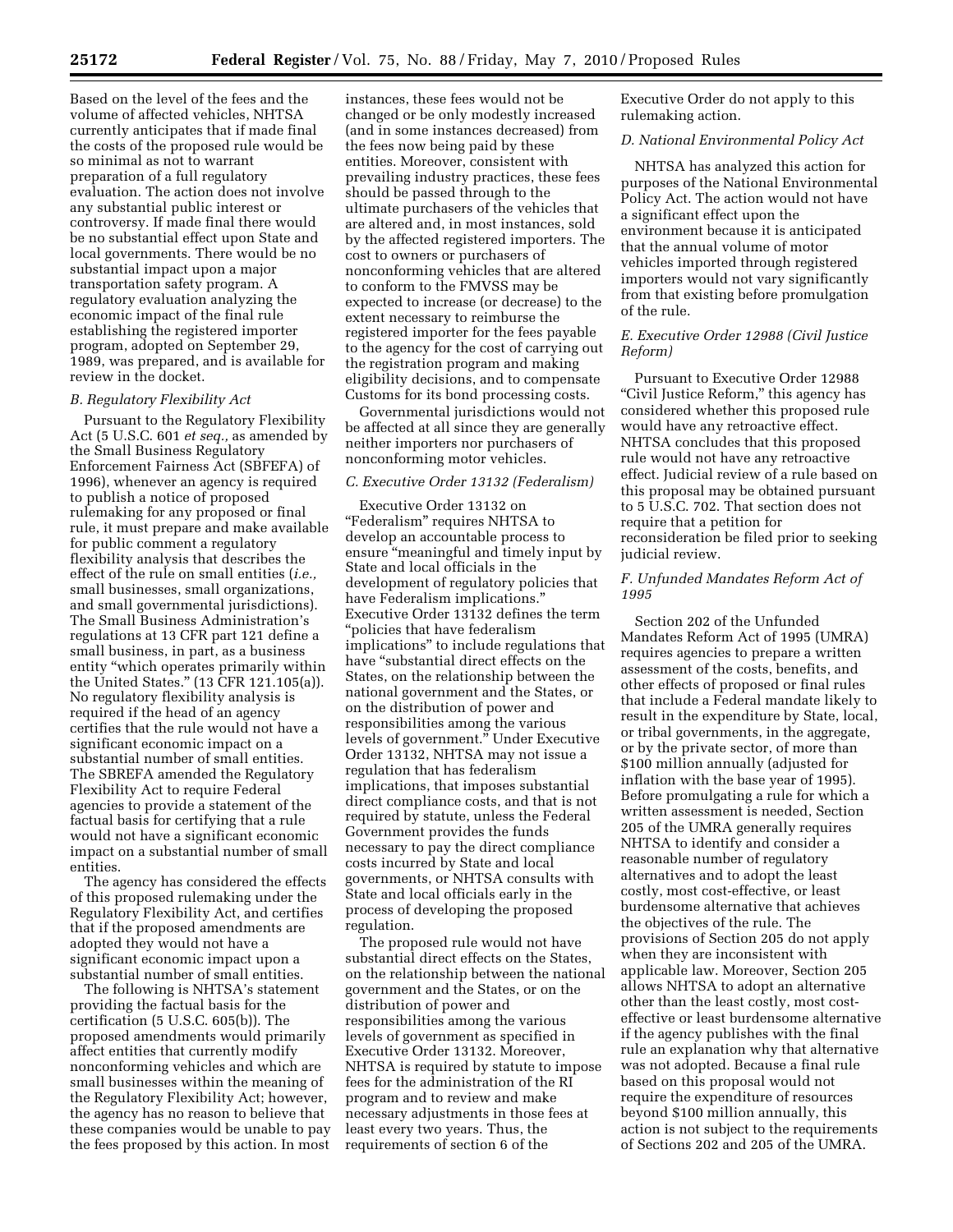Based on the level of the fees and the volume of affected vehicles, NHTSA currently anticipates that if made final the costs of the proposed rule would be so minimal as not to warrant preparation of a full regulatory evaluation. The action does not involve any substantial public interest or controversy. If made final there would be no substantial effect upon State and local governments. There would be no substantial impact upon a major transportation safety program. A regulatory evaluation analyzing the economic impact of the final rule establishing the registered importer program, adopted on September 29, 1989, was prepared, and is available for review in the docket.

### *B. Regulatory Flexibility Act*

Pursuant to the Regulatory Flexibility Act (5 U.S.C. 601 *et seq.,* as amended by the Small Business Regulatory Enforcement Fairness Act (SBFEFA) of 1996), whenever an agency is required to publish a notice of proposed rulemaking for any proposed or final rule, it must prepare and make available for public comment a regulatory flexibility analysis that describes the effect of the rule on small entities (*i.e.,*  small businesses, small organizations, and small governmental jurisdictions). The Small Business Administration's regulations at 13 CFR part 121 define a small business, in part, as a business entity ''which operates primarily within the United States.'' (13 CFR 121.105(a)). No regulatory flexibility analysis is required if the head of an agency certifies that the rule would not have a significant economic impact on a substantial number of small entities. The SBREFA amended the Regulatory Flexibility Act to require Federal agencies to provide a statement of the factual basis for certifying that a rule would not have a significant economic impact on a substantial number of small entities.

The agency has considered the effects of this proposed rulemaking under the Regulatory Flexibility Act, and certifies that if the proposed amendments are adopted they would not have a significant economic impact upon a substantial number of small entities.

The following is NHTSA's statement providing the factual basis for the certification (5 U.S.C. 605(b)). The proposed amendments would primarily affect entities that currently modify nonconforming vehicles and which are small businesses within the meaning of the Regulatory Flexibility Act; however, the agency has no reason to believe that these companies would be unable to pay the fees proposed by this action. In most

instances, these fees would not be changed or be only modestly increased (and in some instances decreased) from the fees now being paid by these entities. Moreover, consistent with prevailing industry practices, these fees should be passed through to the ultimate purchasers of the vehicles that are altered and, in most instances, sold by the affected registered importers. The cost to owners or purchasers of nonconforming vehicles that are altered to conform to the FMVSS may be expected to increase (or decrease) to the extent necessary to reimburse the registered importer for the fees payable to the agency for the cost of carrying out the registration program and making eligibility decisions, and to compensate Customs for its bond processing costs.

Governmental jurisdictions would not be affected at all since they are generally neither importers nor purchasers of nonconforming motor vehicles.

### *C. Executive Order 13132 (Federalism)*

Executive Order 13132 on ''Federalism'' requires NHTSA to develop an accountable process to ensure "meaningful and timely input by State and local officials in the development of regulatory policies that have Federalism implications.'' Executive Order 13132 defines the term ''policies that have federalism implications'' to include regulations that have "substantial direct effects on the States, on the relationship between the national government and the States, or on the distribution of power and responsibilities among the various levels of government.'' Under Executive Order 13132, NHTSA may not issue a regulation that has federalism implications, that imposes substantial direct compliance costs, and that is not required by statute, unless the Federal Government provides the funds necessary to pay the direct compliance costs incurred by State and local governments, or NHTSA consults with State and local officials early in the process of developing the proposed regulation.

The proposed rule would not have substantial direct effects on the States, on the relationship between the national government and the States, or on the distribution of power and responsibilities among the various levels of government as specified in Executive Order 13132. Moreover, NHTSA is required by statute to impose fees for the administration of the RI program and to review and make necessary adjustments in those fees at least every two years. Thus, the requirements of section 6 of the

Executive Order do not apply to this rulemaking action.

### *D. National Environmental Policy Act*

NHTSA has analyzed this action for purposes of the National Environmental Policy Act. The action would not have a significant effect upon the environment because it is anticipated that the annual volume of motor vehicles imported through registered importers would not vary significantly from that existing before promulgation of the rule.

## *E. Executive Order 12988 (Civil Justice Reform)*

Pursuant to Executive Order 12988 "Civil Justice Reform," this agency has considered whether this proposed rule would have any retroactive effect. NHTSA concludes that this proposed rule would not have any retroactive effect. Judicial review of a rule based on this proposal may be obtained pursuant to 5 U.S.C. 702. That section does not require that a petition for reconsideration be filed prior to seeking judicial review.

# *F. Unfunded Mandates Reform Act of 1995*

Section 202 of the Unfunded Mandates Reform Act of 1995 (UMRA) requires agencies to prepare a written assessment of the costs, benefits, and other effects of proposed or final rules that include a Federal mandate likely to result in the expenditure by State, local, or tribal governments, in the aggregate, or by the private sector, of more than \$100 million annually (adjusted for inflation with the base year of 1995). Before promulgating a rule for which a written assessment is needed, Section 205 of the UMRA generally requires NHTSA to identify and consider a reasonable number of regulatory alternatives and to adopt the least costly, most cost-effective, or least burdensome alternative that achieves the objectives of the rule. The provisions of Section 205 do not apply when they are inconsistent with applicable law. Moreover, Section 205 allows NHTSA to adopt an alternative other than the least costly, most costeffective or least burdensome alternative if the agency publishes with the final rule an explanation why that alternative was not adopted. Because a final rule based on this proposal would not require the expenditure of resources beyond \$100 million annually, this action is not subject to the requirements of Sections 202 and 205 of the UMRA.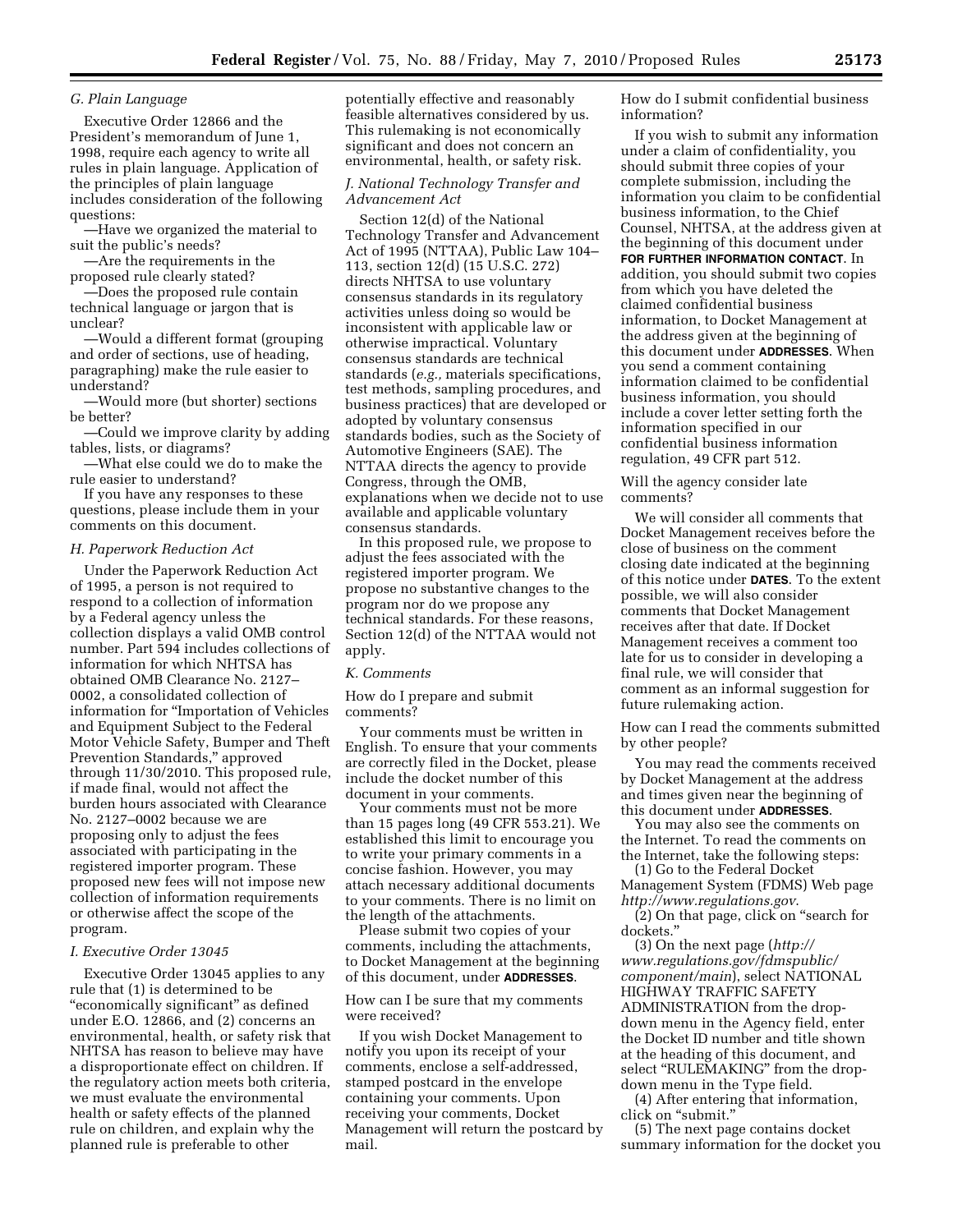# *G. Plain Language*

Executive Order 12866 and the President's memorandum of June 1, 1998, require each agency to write all rules in plain language. Application of the principles of plain language includes consideration of the following questions:

—Have we organized the material to suit the public's needs?

—Are the requirements in the proposed rule clearly stated?

—Does the proposed rule contain technical language or jargon that is unclear?

—Would a different format (grouping and order of sections, use of heading, paragraphing) make the rule easier to understand?

—Would more (but shorter) sections be better?

—Could we improve clarity by adding tables, lists, or diagrams?

—What else could we do to make the rule easier to understand?

If you have any responses to these questions, please include them in your comments on this document.

### *H. Paperwork Reduction Act*

Under the Paperwork Reduction Act of 1995, a person is not required to respond to a collection of information by a Federal agency unless the collection displays a valid OMB control number. Part 594 includes collections of information for which NHTSA has obtained OMB Clearance No. 2127– 0002, a consolidated collection of information for ''Importation of Vehicles and Equipment Subject to the Federal Motor Vehicle Safety, Bumper and Theft Prevention Standards,'' approved through 11/30/2010. This proposed rule, if made final, would not affect the burden hours associated with Clearance No. 2127–0002 because we are proposing only to adjust the fees associated with participating in the registered importer program. These proposed new fees will not impose new collection of information requirements or otherwise affect the scope of the program.

### *I. Executive Order 13045*

Executive Order 13045 applies to any rule that (1) is determined to be ''economically significant'' as defined under E.O. 12866, and (2) concerns an environmental, health, or safety risk that NHTSA has reason to believe may have a disproportionate effect on children. If the regulatory action meets both criteria, we must evaluate the environmental health or safety effects of the planned rule on children, and explain why the planned rule is preferable to other

potentially effective and reasonably feasible alternatives considered by us. This rulemaking is not economically significant and does not concern an environmental, health, or safety risk.

## *J. National Technology Transfer and Advancement Act*

Section 12(d) of the National Technology Transfer and Advancement Act of 1995 (NTTAA), Public Law 104– 113, section 12(d) (15 U.S.C. 272) directs NHTSA to use voluntary consensus standards in its regulatory activities unless doing so would be inconsistent with applicable law or otherwise impractical. Voluntary consensus standards are technical standards (*e.g.,* materials specifications, test methods, sampling procedures, and business practices) that are developed or adopted by voluntary consensus standards bodies, such as the Society of Automotive Engineers (SAE). The NTTAA directs the agency to provide Congress, through the OMB, explanations when we decide not to use available and applicable voluntary consensus standards.

In this proposed rule, we propose to adjust the fees associated with the registered importer program. We propose no substantive changes to the program nor do we propose any technical standards. For these reasons, Section 12(d) of the NTTAA would not apply.

### *K. Comments*

How do I prepare and submit comments?

Your comments must be written in English. To ensure that your comments are correctly filed in the Docket, please include the docket number of this document in your comments.

Your comments must not be more than 15 pages long (49 CFR 553.21). We established this limit to encourage you to write your primary comments in a concise fashion. However, you may attach necessary additional documents to your comments. There is no limit on the length of the attachments.

Please submit two copies of your comments, including the attachments, to Docket Management at the beginning of this document, under **ADDRESSES**.

## How can I be sure that my comments were received?

If you wish Docket Management to notify you upon its receipt of your comments, enclose a self-addressed, stamped postcard in the envelope containing your comments. Upon receiving your comments, Docket Management will return the postcard by mail.

How do I submit confidential business information?

If you wish to submit any information under a claim of confidentiality, you should submit three copies of your complete submission, including the information you claim to be confidential business information, to the Chief Counsel, NHTSA, at the address given at the beginning of this document under **FOR FURTHER INFORMATION CONTACT**. In addition, you should submit two copies from which you have deleted the claimed confidential business information, to Docket Management at the address given at the beginning of this document under **ADDRESSES**. When you send a comment containing information claimed to be confidential business information, you should include a cover letter setting forth the information specified in our confidential business information regulation, 49 CFR part 512.

Will the agency consider late comments?

We will consider all comments that Docket Management receives before the close of business on the comment closing date indicated at the beginning of this notice under **DATES**. To the extent possible, we will also consider comments that Docket Management receives after that date. If Docket Management receives a comment too late for us to consider in developing a final rule, we will consider that comment as an informal suggestion for future rulemaking action.

How can I read the comments submitted by other people?

You may read the comments received by Docket Management at the address and times given near the beginning of this document under **ADDRESSES**.

You may also see the comments on the Internet. To read the comments on the Internet, take the following steps:

(1) Go to the Federal Docket Management System (FDMS) Web page *http://www.regulations.gov*.

(2) On that page, click on ''search for dockets.''

(3) On the next page (*http:// www.regulations.gov/fdmspublic/ component/main*), select NATIONAL HIGHWAY TRAFFIC SAFETY ADMINISTRATION from the dropdown menu in the Agency field, enter the Docket ID number and title shown at the heading of this document, and select "RULEMAKING" from the dropdown menu in the Type field.

(4) After entering that information, click on ''submit.''

(5) The next page contains docket summary information for the docket you